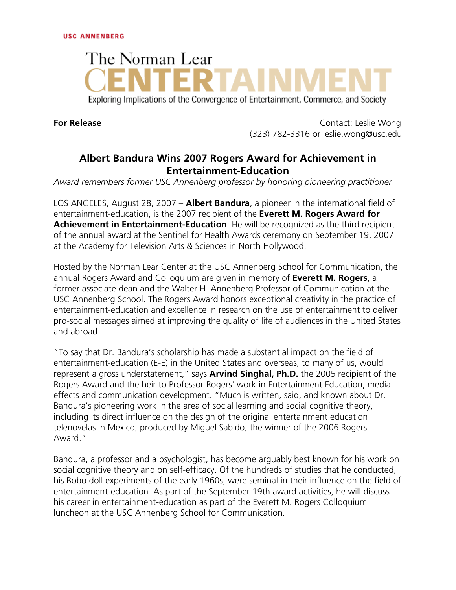## The Norman Lear Exploring Implications of the Convergence of Entertainment, Commerce, and Society

**For Release** Contact: Leslie Wong (323) 782-3316 or leslie.wong@usc.edu

## **Albert Bandura Wins 2007 Rogers Award for Achievement in Entertainment-Education**

*Award remembers former USC Annenberg professor by honoring pioneering practitioner*

LOS ANGELES, August 28, 2007 – **Albert Bandura**, a pioneer in the international field of entertainment-education, is the 2007 recipient of the **Everett M. Rogers Award for Achievement in Entertainment-Education**. He will be recognized as the third recipient of the annual award at the Sentinel for Health Awards ceremony on September 19, 2007 at the Academy for Television Arts & Sciences in North Hollywood.

Hosted by the Norman Lear Center at the USC Annenberg School for Communication, the annual Rogers Award and Colloquium are given in memory of **Everett M. Rogers**, a former associate dean and the Walter H. Annenberg Professor of Communication at the USC Annenberg School. The Rogers Award honors exceptional creativity in the practice of entertainment-education and excellence in research on the use of entertainment to deliver pro-social messages aimed at improving the quality of life of audiences in the United States and abroad.

"To say that Dr. Bandura's scholarship has made a substantial impact on the field of entertainment-education (E-E) in the United States and overseas, to many of us, would represent a gross understatement," says **Arvind Singhal, Ph.D.** the 2005 recipient of the Rogers Award and the heir to Professor Rogers' work in Entertainment Education, media effects and communication development. "Much is written, said, and known about Dr. Bandura's pioneering work in the area of social learning and social cognitive theory, including its direct influence on the design of the original entertainment education telenovelas in Mexico, produced by Miguel Sabido, the winner of the 2006 Rogers Award."

Bandura, a professor and a psychologist, has become arguably best known for his work on social cognitive theory and on self-efficacy. Of the hundreds of studies that he conducted, his Bobo doll experiments of the early 1960s, were seminal in their influence on the field of entertainment-education. As part of the September 19th award activities, he will discuss his career in entertainment-education as part of the Everett M. Rogers Colloquium luncheon at the USC Annenberg School for Communication.